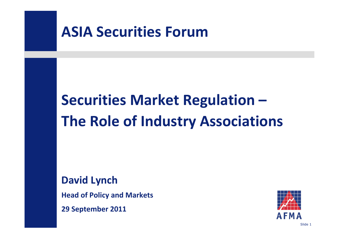#### **ASIA Securities Forum**

# **Securities Market Regulation – The Role of Industry Associations**

#### **David Lynch**

**Head of Policy and Markets**

**29 September 2011**

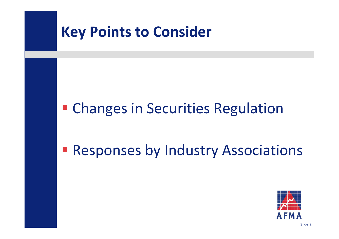#### **Key Points to Consider**

## **Example 1 Changes in Securities Regulation**

## **Responses by Industry Associations**

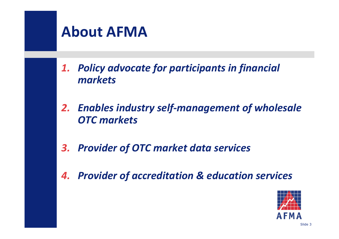## **About AFMA**

*1. Policy advocate for participants in financial markets*

- *2. Enables industry self‐management of wholesale OTC markets*
- *3. Provider of OTC market data services*
- *4. Provider of accreditation & education services*

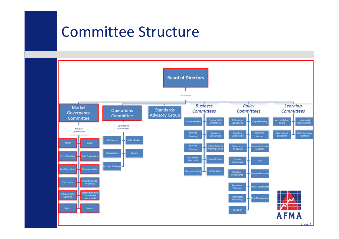#### Committee Structure



Slide 4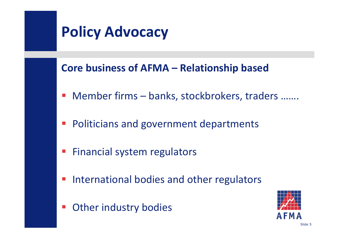## **Policy Advocacy**

#### **Core business of AFMA – Relationship based**

- Member firms – banks, stockbrokers, traders …….
- $\mathcal{L}_{\mathcal{A}}$ **Politicians and government departments**
- $\mathcal{L}_{\mathcal{A}}$ Financial system regulators
- $\overline{\mathbb{R}}$ **International bodies and other regulators**
- Other industry bodies

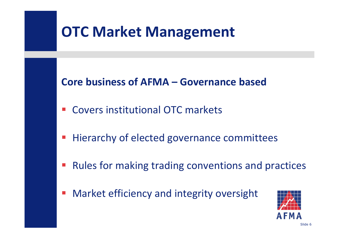## **OTC Market Management**

#### **Core business of AFMA – Governance based**

- **EX Covers institutional OTC markets**
- Hierarchy of elected governance committees
- Rules for making trading conventions and practices
- Market efficiency and integrity oversight

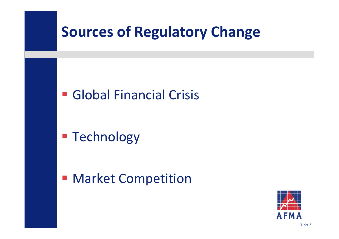## **Sources of Regulatory Change**

#### **Global Financial Crisis**

**- Technology** 

#### **- Market Competition**

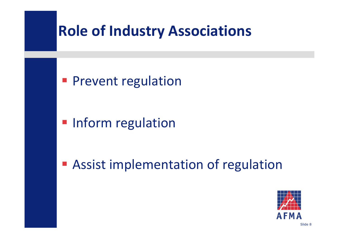## **Role of Industry Associations**

#### **Prevent regulation**

#### **Inform regulation**

**Assist implementation of regulation** 

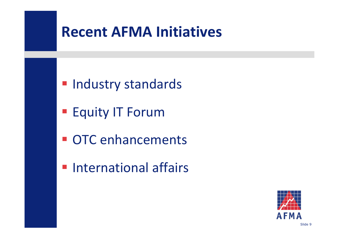## **Recent AFMA Initiatives**

- **Industry standards**
- **Equity IT Forum**
- **OTC** enhancements
- **International affairs**